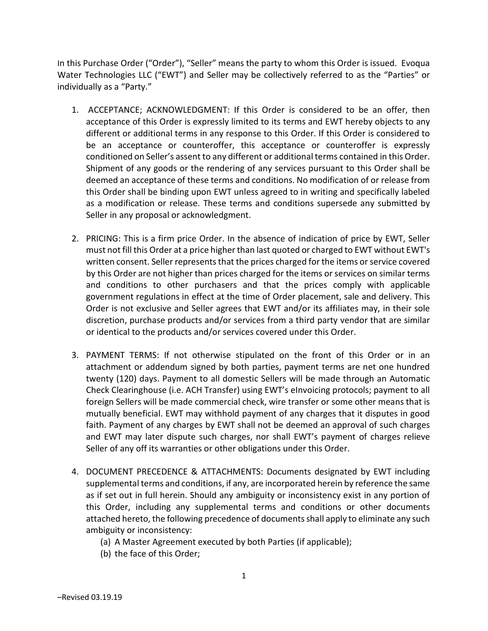In this Purchase Order ("Order"), "Seller" means the party to whom this Order is issued. Evoqua Water Technologies LLC ("EWT") and Seller may be collectively referred to as the "Parties" or individually as a "Party."

- 1. ACCEPTANCE; ACKNOWLEDGMENT: If this Order is considered to be an offer, then acceptance of this Order is expressly limited to its terms and EWT hereby objects to any different or additional terms in any response to this Order. If this Order is considered to be an acceptance or counteroffer, this acceptance or counteroffer is expressly conditioned on Seller's assent to any different or additional terms contained in this Order. Shipment of any goods or the rendering of any services pursuant to this Order shall be deemed an acceptance of these terms and conditions. No modification of or release from this Order shall be binding upon EWT unless agreed to in writing and specifically labeled as a modification or release. These terms and conditions supersede any submitted by Seller in any proposal or acknowledgment.
- 2. PRICING: This is a firm price Order. In the absence of indication of price by EWT, Seller must not fill this Order at a price higher than last quoted or charged to EWT without EWT's written consent. Seller represents that the prices charged for the items or service covered by this Order are not higher than prices charged for the items or services on similar terms and conditions to other purchasers and that the prices comply with applicable government regulations in effect at the time of Order placement, sale and delivery. This Order is not exclusive and Seller agrees that EWT and/or its affiliates may, in their sole discretion, purchase products and/or services from a third party vendor that are similar or identical to the products and/or services covered under this Order.
- 3. PAYMENT TERMS: If not otherwise stipulated on the front of this Order or in an attachment or addendum signed by both parties, payment terms are net one hundred twenty (120) days. Payment to all domestic Sellers will be made through an Automatic Check Clearinghouse (i.e. ACH Transfer) using EWT's eInvoicing protocols; payment to all foreign Sellers will be made commercial check, wire transfer or some other means that is mutually beneficial. EWT may withhold payment of any charges that it disputes in good faith. Payment of any charges by EWT shall not be deemed an approval of such charges and EWT may later dispute such charges, nor shall EWT's payment of charges relieve Seller of any off its warranties or other obligations under this Order.
- 4. DOCUMENT PRECEDENCE & ATTACHMENTS: Documents designated by EWT including supplemental terms and conditions, if any, are incorporated herein by reference the same as if set out in full herein. Should any ambiguity or inconsistency exist in any portion of this Order, including any supplemental terms and conditions or other documents attached hereto, the following precedence of documents shall apply to eliminate any such ambiguity or inconsistency:
	- (a) A Master Agreement executed by both Parties (if applicable);
	- (b) the face of this Order;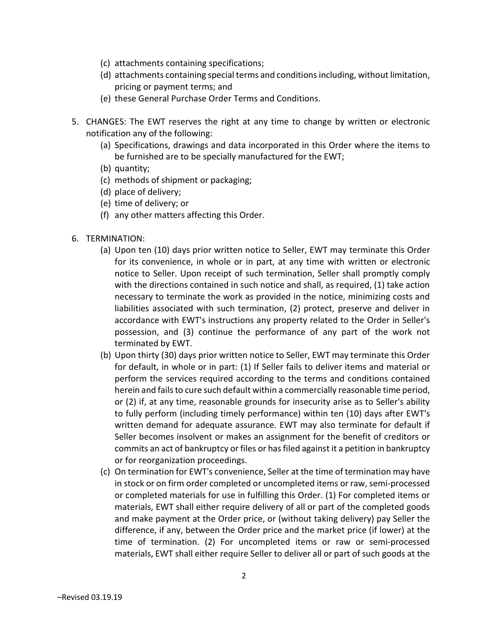- (c) attachments containing specifications;
- (d) attachments containing special terms and conditions including, without limitation, pricing or payment terms; and
- (e) these General Purchase Order Terms and Conditions.
- 5. CHANGES: The EWT reserves the right at any time to change by written or electronic notification any of the following:
	- (a) Specifications, drawings and data incorporated in this Order where the items to be furnished are to be specially manufactured for the EWT;
	- (b) quantity;
	- (c) methods of shipment or packaging;
	- (d) place of delivery;
	- (e) time of delivery; or
	- (f) any other matters affecting this Order.
- 6. TERMINATION:
	- (a) Upon ten (10) days prior written notice to Seller, EWT may terminate this Order for its convenience, in whole or in part, at any time with written or electronic notice to Seller. Upon receipt of such termination, Seller shall promptly comply with the directions contained in such notice and shall, as required, (1) take action necessary to terminate the work as provided in the notice, minimizing costs and liabilities associated with such termination, (2) protect, preserve and deliver in accordance with EWT's instructions any property related to the Order in Seller's possession, and (3) continue the performance of any part of the work not terminated by EWT.
	- (b) Upon thirty (30) days prior written notice to Seller, EWT may terminate this Order for default, in whole or in part: (1) If Seller fails to deliver items and material or perform the services required according to the terms and conditions contained herein and fails to cure such default within a commercially reasonable time period, or (2) if, at any time, reasonable grounds for insecurity arise as to Seller's ability to fully perform (including timely performance) within ten (10) days after EWT's written demand for adequate assurance. EWT may also terminate for default if Seller becomes insolvent or makes an assignment for the benefit of creditors or commits an act of bankruptcy or files or has filed against it a petition in bankruptcy or for reorganization proceedings.
	- (c) On termination for EWT's convenience, Seller at the time of termination may have in stock or on firm order completed or uncompleted items or raw, semi-processed or completed materials for use in fulfilling this Order. (1) For completed items or materials, EWT shall either require delivery of all or part of the completed goods and make payment at the Order price, or (without taking delivery) pay Seller the difference, if any, between the Order price and the market price (if lower) at the time of termination. (2) For uncompleted items or raw or semi-processed materials, EWT shall either require Seller to deliver all or part of such goods at the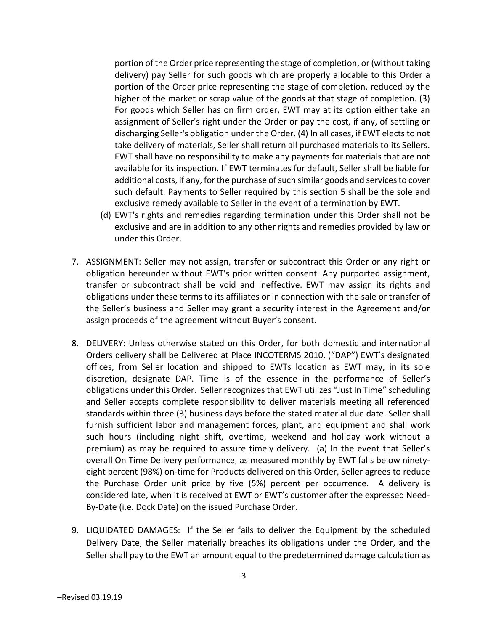portion of the Order price representing the stage of completion, or (without taking delivery) pay Seller for such goods which are properly allocable to this Order a portion of the Order price representing the stage of completion, reduced by the higher of the market or scrap value of the goods at that stage of completion. (3) For goods which Seller has on firm order, EWT may at its option either take an assignment of Seller's right under the Order or pay the cost, if any, of settling or discharging Seller's obligation under the Order. (4) In all cases, if EWT elects to not take delivery of materials, Seller shall return all purchased materials to its Sellers. EWT shall have no responsibility to make any payments for materials that are not available for its inspection. If EWT terminates for default, Seller shall be liable for additional costs, if any, for the purchase of such similar goods and services to cover such default. Payments to Seller required by this section 5 shall be the sole and exclusive remedy available to Seller in the event of a termination by EWT.

- (d) EWT's rights and remedies regarding termination under this Order shall not be exclusive and are in addition to any other rights and remedies provided by law or under this Order.
- 7. ASSIGNMENT: Seller may not assign, transfer or subcontract this Order or any right or obligation hereunder without EWT's prior written consent. Any purported assignment, transfer or subcontract shall be void and ineffective. EWT may assign its rights and obligations under these terms to its affiliates or in connection with the sale or transfer of the Seller's business and Seller may grant a security interest in the Agreement and/or assign proceeds of the agreement without Buyer's consent.
- 8. DELIVERY: Unless otherwise stated on this Order, for both domestic and international Orders delivery shall be Delivered at Place INCOTERMS 2010, ("DAP") EWT's designated offices, from Seller location and shipped to EWTs location as EWT may, in its sole discretion, designate DAP. Time is of the essence in the performance of Seller's obligations under this Order. Seller recognizes that EWT utilizes "Just In Time" scheduling and Seller accepts complete responsibility to deliver materials meeting all referenced standards within three (3) business days before the stated material due date. Seller shall furnish sufficient labor and management forces, plant, and equipment and shall work such hours (including night shift, overtime, weekend and holiday work without a premium) as may be required to assure timely delivery. (a) In the event that Seller's overall On Time Delivery performance, as measured monthly by EWT falls below ninetyeight percent (98%) on-time for Products delivered on this Order, Seller agrees to reduce the Purchase Order unit price by five (5%) percent per occurrence. A delivery is considered late, when it is received at EWT or EWT's customer after the expressed Need-By-Date (i.e. Dock Date) on the issued Purchase Order.
- 9. LIQUIDATED DAMAGES: If the Seller fails to deliver the Equipment by the scheduled Delivery Date, the Seller materially breaches its obligations under the Order, and the Seller shall pay to the EWT an amount equal to the predetermined damage calculation as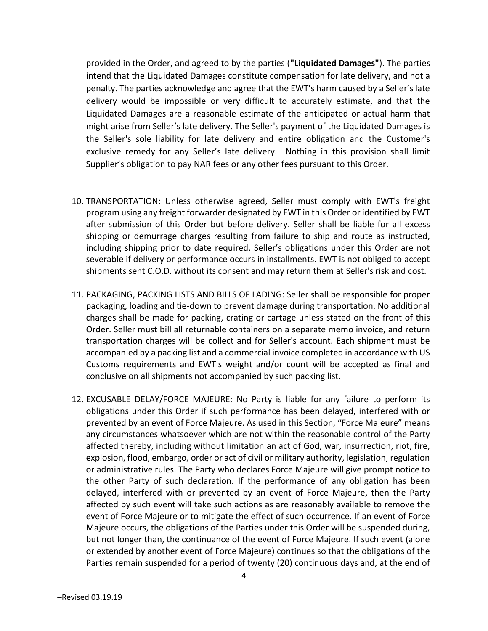provided in the Order, and agreed to by the parties ("Liquidated Damages"). The parties intend that the Liquidated Damages constitute compensation for late delivery, and not a penalty. The parties acknowledge and agree that the EWT's harm caused by a Seller's late delivery would be impossible or very difficult to accurately estimate, and that the Liquidated Damages are a reasonable estimate of the anticipated or actual harm that might arise from Seller's late delivery. The Seller's payment of the Liquidated Damages is the Seller's sole liability for late delivery and entire obligation and the Customer's exclusive remedy for any Seller's late delivery. Nothing in this provision shall limit Supplier's obligation to pay NAR fees or any other fees pursuant to this Order.

- 10. TRANSPORTATION: Unless otherwise agreed, Seller must comply with EWT's freight program using any freight forwarder designated by EWT in this Order or identified by EWT after submission of this Order but before delivery. Seller shall be liable for all excess shipping or demurrage charges resulting from failure to ship and route as instructed, including shipping prior to date required. Seller's obligations under this Order are not severable if delivery or performance occurs in installments. EWT is not obliged to accept shipments sent C.O.D. without its consent and may return them at Seller's risk and cost.
- 11. PACKAGING, PACKING LISTS AND BILLS OF LADING: Seller shall be responsible for proper packaging, loading and tie-down to prevent damage during transportation. No additional charges shall be made for packing, crating or cartage unless stated on the front of this Order. Seller must bill all returnable containers on a separate memo invoice, and return transportation charges will be collect and for Seller's account. Each shipment must be accompanied by a packing list and a commercial invoice completed in accordance with US Customs requirements and EWT's weight and/or count will be accepted as final and conclusive on all shipments not accompanied by such packing list.
- 12. EXCUSABLE DELAY/FORCE MAJEURE: No Party is liable for any failure to perform its obligations under this Order if such performance has been delayed, interfered with or prevented by an event of Force Majeure. As used in this Section, "Force Majeure" means any circumstances whatsoever which are not within the reasonable control of the Party affected thereby, including without limitation an act of God, war, insurrection, riot, fire, explosion, flood, embargo, order or act of civil or military authority, legislation, regulation or administrative rules. The Party who declares Force Majeure will give prompt notice to the other Party of such declaration. If the performance of any obligation has been delayed, interfered with or prevented by an event of Force Majeure, then the Party affected by such event will take such actions as are reasonably available to remove the event of Force Majeure or to mitigate the effect of such occurrence. If an event of Force Majeure occurs, the obligations of the Parties under this Order will be suspended during, but not longer than, the continuance of the event of Force Majeure. If such event (alone or extended by another event of Force Majeure) continues so that the obligations of the Parties remain suspended for a period of twenty (20) continuous days and, at the end of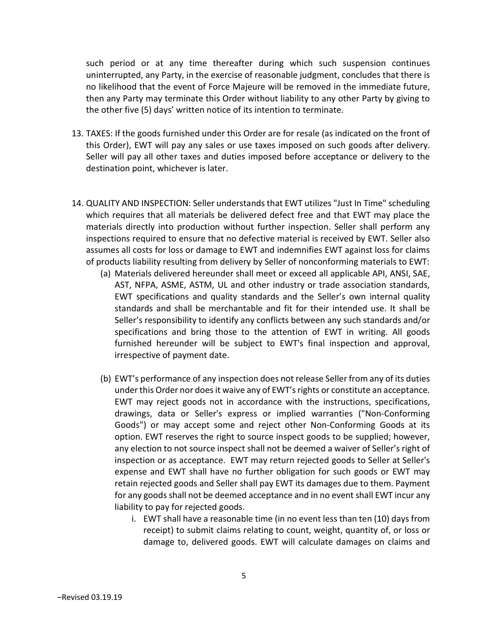such period or at any time thereafter during which such suspension continues uninterrupted, any Party, in the exercise of reasonable judgment, concludes that there is no likelihood that the event of Force Majeure will be removed in the immediate future, then any Party may terminate this Order without liability to any other Party by giving to the other five (5) days' written notice of its intention to terminate.

- 13. TAXES: If the goods furnished under this Order are for resale (as indicated on the front of this Order), EWT will pay any sales or use taxes imposed on such goods after delivery. Seller will pay all other taxes and duties imposed before acceptance or delivery to the destination point, whichever is later.
- 14. QUALITY AND INSPECTION: Seller understands that EWT utilizes "Just In Time" scheduling which requires that all materials be delivered defect free and that EWT may place the materials directly into production without further inspection. Seller shall perform any inspections required to ensure that no defective material is received by EWT. Seller also assumes all costs for loss or damage to EWT and indemnifies EWT against loss for claims of products liability resulting from delivery by Seller of nonconforming materials to EWT:
	- (a) Materials delivered hereunder shall meet or exceed all applicable API, ANSI, SAE, AST, NFPA, ASME, ASTM, UL and other industry or trade association standards, EWT specifications and quality standards and the Seller's own internal quality standards and shall be merchantable and fit for their intended use. It shall be Seller's responsibility to identify any conflicts between any such standards and/or specifications and bring those to the attention of EWT in writing. All goods furnished hereunder will be subject to EWT's final inspection and approval, irrespective of payment date.
	- (b) EWT's performance of any inspection does not release Seller from any of its duties under this Order nor does it waive any of EWT's rights or constitute an acceptance. EWT may reject goods not in accordance with the instructions, specifications, drawings, data or Seller's express or implied warranties ("Non-Conforming Goods") or may accept some and reject other Non-Conforming Goods at its option. EWT reserves the right to source inspect goods to be supplied; however, any election to not source inspect shall not be deemed a waiver of Seller's right of inspection or as acceptance. EWT may return rejected goods to Seller at Seller's expense and EWT shall have no further obligation for such goods or EWT may retain rejected goods and Seller shall pay EWT its damages due to them. Payment for any goods shall not be deemed acceptance and in no event shall EWT incur any liability to pay for rejected goods.
		- i. EWT shall have a reasonable time (in no event less than ten (10) days from receipt) to submit claims relating to count, weight, quantity of, or loss or damage to, delivered goods. EWT will calculate damages on claims and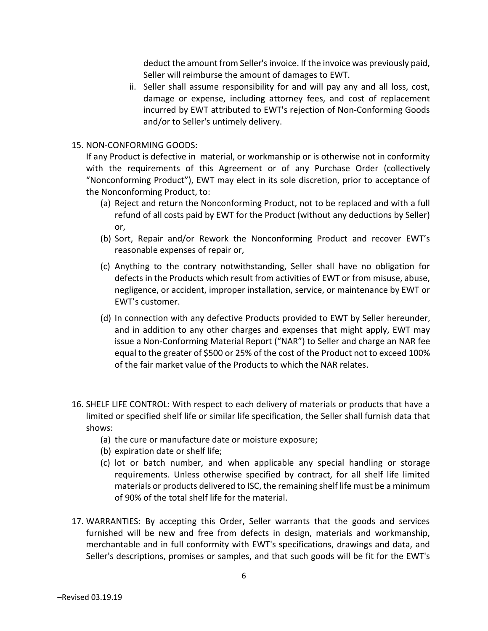deduct the amount from Seller's invoice. If the invoice was previously paid, Seller will reimburse the amount of damages to EWT.

ii. Seller shall assume responsibility for and will pay any and all loss, cost, damage or expense, including attorney fees, and cost of replacement incurred by EWT attributed to EWT's rejection of Non-Conforming Goods and/or to Seller's untimely delivery.

## 15. NON-CONFORMING GOODS:

If any Product is defective in material, or workmanship or is otherwise not in conformity with the requirements of this Agreement or of any Purchase Order (collectively "Nonconforming Product"), EWT may elect in its sole discretion, prior to acceptance of the Nonconforming Product, to:

- (a) Reject and return the Nonconforming Product, not to be replaced and with a full refund of all costs paid by EWT for the Product (without any deductions by Seller) or,
- (b) Sort, Repair and/or Rework the Nonconforming Product and recover EWT's reasonable expenses of repair or,
- (c) Anything to the contrary notwithstanding, Seller shall have no obligation for defects in the Products which result from activities of EWT or from misuse, abuse, negligence, or accident, improper installation, service, or maintenance by EWT or EWT's customer.
- (d) In connection with any defective Products provided to EWT by Seller hereunder, and in addition to any other charges and expenses that might apply, EWT may issue a Non-Conforming Material Report ("NAR") to Seller and charge an NAR fee equal to the greater of \$500 or 25% of the cost of the Product not to exceed 100% of the fair market value of the Products to which the NAR relates.
- 16. SHELF LIFE CONTROL: With respect to each delivery of materials or products that have a limited or specified shelf life or similar life specification, the Seller shall furnish data that shows:
	- (a) the cure or manufacture date or moisture exposure;
	- (b) expiration date or shelf life;
	- (c) lot or batch number, and when applicable any special handling or storage requirements. Unless otherwise specified by contract, for all shelf life limited materials or products delivered to ISC, the remaining shelf life must be a minimum of 90% of the total shelf life for the material.
- 17. WARRANTIES: By accepting this Order, Seller warrants that the goods and services furnished will be new and free from defects in design, materials and workmanship, merchantable and in full conformity with EWT's specifications, drawings and data, and Seller's descriptions, promises or samples, and that such goods will be fit for the EWT's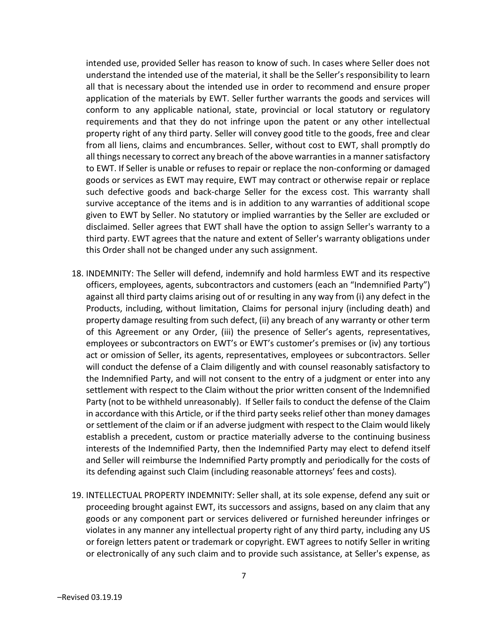intended use, provided Seller has reason to know of such. In cases where Seller does not understand the intended use of the material, it shall be the Seller's responsibility to learn all that is necessary about the intended use in order to recommend and ensure proper application of the materials by EWT. Seller further warrants the goods and services will conform to any applicable national, state, provincial or local statutory or regulatory requirements and that they do not infringe upon the patent or any other intellectual property right of any third party. Seller will convey good title to the goods, free and clear from all liens, claims and encumbrances. Seller, without cost to EWT, shall promptly do all things necessary to correct any breach of the above warranties in a manner satisfactory to EWT. If Seller is unable or refuses to repair or replace the non-conforming or damaged goods or services as EWT may require, EWT may contract or otherwise repair or replace such defective goods and back-charge Seller for the excess cost. This warranty shall survive acceptance of the items and is in addition to any warranties of additional scope given to EWT by Seller. No statutory or implied warranties by the Seller are excluded or disclaimed. Seller agrees that EWT shall have the option to assign Seller's warranty to a third party. EWT agrees that the nature and extent of Seller's warranty obligations under this Order shall not be changed under any such assignment.

- 18. INDEMNITY: The Seller will defend, indemnify and hold harmless EWT and its respective officers, employees, agents, subcontractors and customers (each an "Indemnified Party") against all third party claims arising out of or resulting in any way from (i) any defect in the Products, including, without limitation, Claims for personal injury (including death) and property damage resulting from such defect, (ii) any breach of any warranty or other term of this Agreement or any Order, (iii) the presence of Seller's agents, representatives, employees or subcontractors on EWT's or EWT's customer's premises or (iv) any tortious act or omission of Seller, its agents, representatives, employees or subcontractors. Seller will conduct the defense of a Claim diligently and with counsel reasonably satisfactory to the Indemnified Party, and will not consent to the entry of a judgment or enter into any settlement with respect to the Claim without the prior written consent of the Indemnified Party (not to be withheld unreasonably). If Seller fails to conduct the defense of the Claim in accordance with this Article, or if the third party seeks relief other than money damages or settlement of the claim or if an adverse judgment with respect to the Claim would likely establish a precedent, custom or practice materially adverse to the continuing business interests of the Indemnified Party, then the Indemnified Party may elect to defend itself and Seller will reimburse the Indemnified Party promptly and periodically for the costs of its defending against such Claim (including reasonable attorneys' fees and costs).
- 19. INTELLECTUAL PROPERTY INDEMNITY: Seller shall, at its sole expense, defend any suit or proceeding brought against EWT, its successors and assigns, based on any claim that any goods or any component part or services delivered or furnished hereunder infringes or violates in any manner any intellectual property right of any third party, including any US or foreign letters patent or trademark or copyright. EWT agrees to notify Seller in writing or electronically of any such claim and to provide such assistance, at Seller's expense, as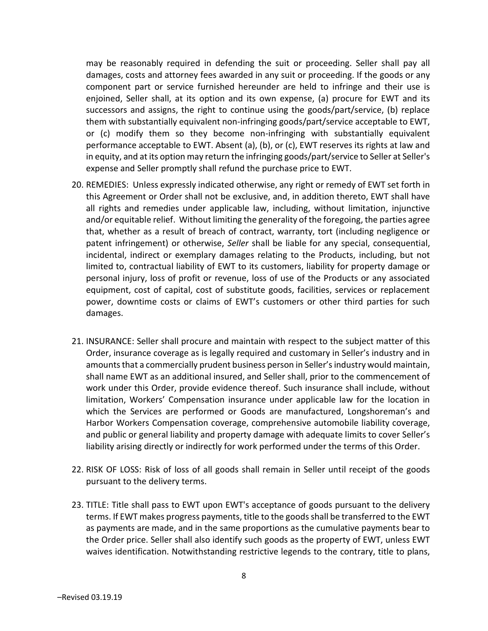may be reasonably required in defending the suit or proceeding. Seller shall pay all damages, costs and attorney fees awarded in any suit or proceeding. If the goods or any component part or service furnished hereunder are held to infringe and their use is enjoined, Seller shall, at its option and its own expense, (a) procure for EWT and its successors and assigns, the right to continue using the goods/part/service, (b) replace them with substantially equivalent non-infringing goods/part/service acceptable to EWT, or (c) modify them so they become non-infringing with substantially equivalent performance acceptable to EWT. Absent (a), (b), or (c), EWT reserves its rights at law and in equity, and at its option may return the infringing goods/part/service to Seller at Seller's expense and Seller promptly shall refund the purchase price to EWT.

- 20. REMEDIES: Unless expressly indicated otherwise, any right or remedy of EWT set forth in this Agreement or Order shall not be exclusive, and, in addition thereto, EWT shall have all rights and remedies under applicable law, including, without limitation, injunctive and/or equitable relief. Without limiting the generality of the foregoing, the parties agree that, whether as a result of breach of contract, warranty, tort (including negligence or patent infringement) or otherwise, Seller shall be liable for any special, consequential, incidental, indirect or exemplary damages relating to the Products, including, but not limited to, contractual liability of EWT to its customers, liability for property damage or personal injury, loss of profit or revenue, loss of use of the Products or any associated equipment, cost of capital, cost of substitute goods, facilities, services or replacement power, downtime costs or claims of EWT's customers or other third parties for such damages.
- 21. INSURANCE: Seller shall procure and maintain with respect to the subject matter of this Order, insurance coverage as is legally required and customary in Seller's industry and in amounts that a commercially prudent business person in Seller's industry would maintain, shall name EWT as an additional insured, and Seller shall, prior to the commencement of work under this Order, provide evidence thereof. Such insurance shall include, without limitation, Workers' Compensation insurance under applicable law for the location in which the Services are performed or Goods are manufactured, Longshoreman's and Harbor Workers Compensation coverage, comprehensive automobile liability coverage, and public or general liability and property damage with adequate limits to cover Seller's liability arising directly or indirectly for work performed under the terms of this Order.
- 22. RISK OF LOSS: Risk of loss of all goods shall remain in Seller until receipt of the goods pursuant to the delivery terms.
- 23. TITLE: Title shall pass to EWT upon EWT's acceptance of goods pursuant to the delivery terms. If EWT makes progress payments, title to the goods shall be transferred to the EWT as payments are made, and in the same proportions as the cumulative payments bear to the Order price. Seller shall also identify such goods as the property of EWT, unless EWT waives identification. Notwithstanding restrictive legends to the contrary, title to plans,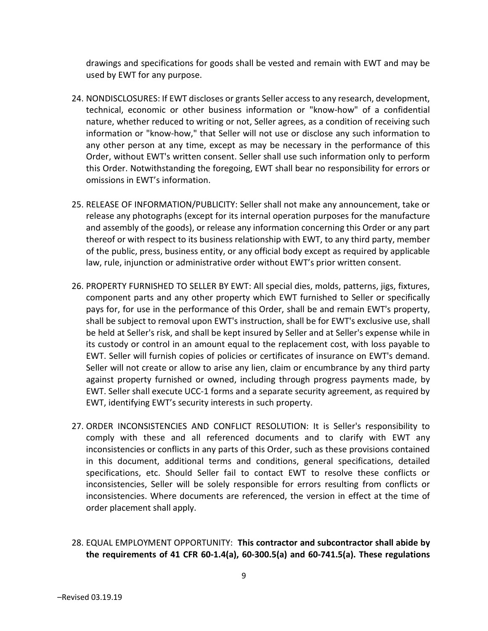drawings and specifications for goods shall be vested and remain with EWT and may be used by EWT for any purpose.

- 24. NONDISCLOSURES: If EWT discloses or grants Seller access to any research, development, technical, economic or other business information or "know-how" of a confidential nature, whether reduced to writing or not, Seller agrees, as a condition of receiving such information or "know-how," that Seller will not use or disclose any such information to any other person at any time, except as may be necessary in the performance of this Order, without EWT's written consent. Seller shall use such information only to perform this Order. Notwithstanding the foregoing, EWT shall bear no responsibility for errors or omissions in EWT's information.
- 25. RELEASE OF INFORMATION/PUBLICITY: Seller shall not make any announcement, take or release any photographs (except for its internal operation purposes for the manufacture and assembly of the goods), or release any information concerning this Order or any part thereof or with respect to its business relationship with EWT, to any third party, member of the public, press, business entity, or any official body except as required by applicable law, rule, injunction or administrative order without EWT's prior written consent.
- 26. PROPERTY FURNISHED TO SELLER BY EWT: All special dies, molds, patterns, jigs, fixtures, component parts and any other property which EWT furnished to Seller or specifically pays for, for use in the performance of this Order, shall be and remain EWT's property, shall be subject to removal upon EWT's instruction, shall be for EWT's exclusive use, shall be held at Seller's risk, and shall be kept insured by Seller and at Seller's expense while in its custody or control in an amount equal to the replacement cost, with loss payable to EWT. Seller will furnish copies of policies or certificates of insurance on EWT's demand. Seller will not create or allow to arise any lien, claim or encumbrance by any third party against property furnished or owned, including through progress payments made, by EWT. Seller shall execute UCC-1 forms and a separate security agreement, as required by EWT, identifying EWT's security interests in such property.
- 27. ORDER INCONSISTENCIES AND CONFLICT RESOLUTION: It is Seller's responsibility to comply with these and all referenced documents and to clarify with EWT any inconsistencies or conflicts in any parts of this Order, such as these provisions contained in this document, additional terms and conditions, general specifications, detailed specifications, etc. Should Seller fail to contact EWT to resolve these conflicts or inconsistencies, Seller will be solely responsible for errors resulting from conflicts or inconsistencies. Where documents are referenced, the version in effect at the time of order placement shall apply.
- 28. EQUAL EMPLOYMENT OPPORTUNITY: This contractor and subcontractor shall abide by the requirements of 41 CFR 60-1.4(a), 60-300.5(a) and 60-741.5(a). These regulations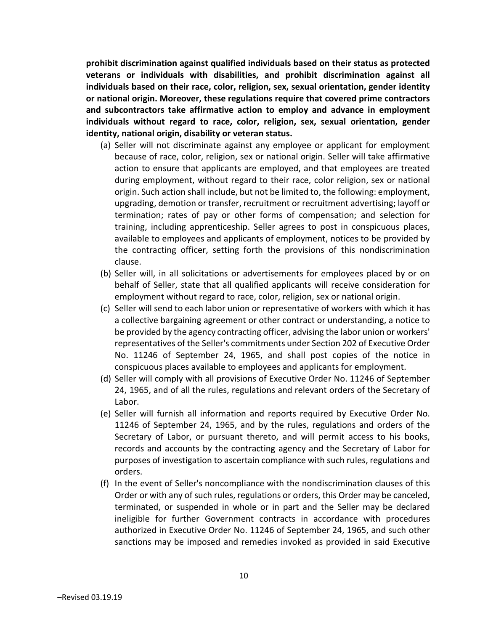prohibit discrimination against qualified individuals based on their status as protected veterans or individuals with disabilities, and prohibit discrimination against all individuals based on their race, color, religion, sex, sexual orientation, gender identity or national origin. Moreover, these regulations require that covered prime contractors and subcontractors take affirmative action to employ and advance in employment individuals without regard to race, color, religion, sex, sexual orientation, gender identity, national origin, disability or veteran status.

- (a) Seller will not discriminate against any employee or applicant for employment because of race, color, religion, sex or national origin. Seller will take affirmative action to ensure that applicants are employed, and that employees are treated during employment, without regard to their race, color religion, sex or national origin. Such action shall include, but not be limited to, the following: employment, upgrading, demotion or transfer, recruitment or recruitment advertising; layoff or termination; rates of pay or other forms of compensation; and selection for training, including apprenticeship. Seller agrees to post in conspicuous places, available to employees and applicants of employment, notices to be provided by the contracting officer, setting forth the provisions of this nondiscrimination clause.
- (b) Seller will, in all solicitations or advertisements for employees placed by or on behalf of Seller, state that all qualified applicants will receive consideration for employment without regard to race, color, religion, sex or national origin.
- (c) Seller will send to each labor union or representative of workers with which it has a collective bargaining agreement or other contract or understanding, a notice to be provided by the agency contracting officer, advising the labor union or workers' representatives of the Seller's commitments under Section 202 of Executive Order No. 11246 of September 24, 1965, and shall post copies of the notice in conspicuous places available to employees and applicants for employment.
- (d) Seller will comply with all provisions of Executive Order No. 11246 of September 24, 1965, and of all the rules, regulations and relevant orders of the Secretary of Labor.
- (e) Seller will furnish all information and reports required by Executive Order No. 11246 of September 24, 1965, and by the rules, regulations and orders of the Secretary of Labor, or pursuant thereto, and will permit access to his books, records and accounts by the contracting agency and the Secretary of Labor for purposes of investigation to ascertain compliance with such rules, regulations and orders.
- (f) In the event of Seller's noncompliance with the nondiscrimination clauses of this Order or with any of such rules, regulations or orders, this Order may be canceled, terminated, or suspended in whole or in part and the Seller may be declared ineligible for further Government contracts in accordance with procedures authorized in Executive Order No. 11246 of September 24, 1965, and such other sanctions may be imposed and remedies invoked as provided in said Executive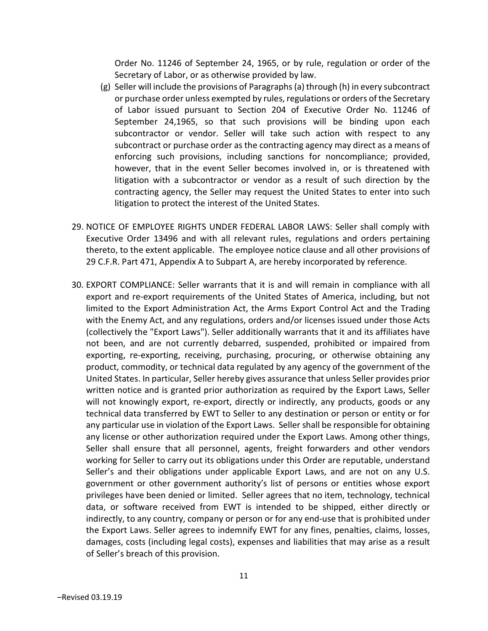Order No. 11246 of September 24, 1965, or by rule, regulation or order of the Secretary of Labor, or as otherwise provided by law.

- (g) Seller will include the provisions of Paragraphs (a) through (h) in every subcontract or purchase order unless exempted by rules, regulations or orders of the Secretary of Labor issued pursuant to Section 204 of Executive Order No. 11246 of September 24,1965, so that such provisions will be binding upon each subcontractor or vendor. Seller will take such action with respect to any subcontract or purchase order as the contracting agency may direct as a means of enforcing such provisions, including sanctions for noncompliance; provided, however, that in the event Seller becomes involved in, or is threatened with litigation with a subcontractor or vendor as a result of such direction by the contracting agency, the Seller may request the United States to enter into such litigation to protect the interest of the United States.
- 29. NOTICE OF EMPLOYEE RIGHTS UNDER FEDERAL LABOR LAWS: Seller shall comply with Executive Order 13496 and with all relevant rules, regulations and orders pertaining thereto, to the extent applicable. The employee notice clause and all other provisions of 29 C.F.R. Part 471, Appendix A to Subpart A, are hereby incorporated by reference.
- 30. EXPORT COMPLIANCE: Seller warrants that it is and will remain in compliance with all export and re-export requirements of the United States of America, including, but not limited to the Export Administration Act, the Arms Export Control Act and the Trading with the Enemy Act, and any regulations, orders and/or licenses issued under those Acts (collectively the "Export Laws"). Seller additionally warrants that it and its affiliates have not been, and are not currently debarred, suspended, prohibited or impaired from exporting, re-exporting, receiving, purchasing, procuring, or otherwise obtaining any product, commodity, or technical data regulated by any agency of the government of the United States. In particular, Seller hereby gives assurance that unless Seller provides prior written notice and is granted prior authorization as required by the Export Laws, Seller will not knowingly export, re-export, directly or indirectly, any products, goods or any technical data transferred by EWT to Seller to any destination or person or entity or for any particular use in violation of the Export Laws. Seller shall be responsible for obtaining any license or other authorization required under the Export Laws. Among other things, Seller shall ensure that all personnel, agents, freight forwarders and other vendors working for Seller to carry out its obligations under this Order are reputable, understand Seller's and their obligations under applicable Export Laws, and are not on any U.S. government or other government authority's list of persons or entities whose export privileges have been denied or limited. Seller agrees that no item, technology, technical data, or software received from EWT is intended to be shipped, either directly or indirectly, to any country, company or person or for any end-use that is prohibited under the Export Laws. Seller agrees to indemnify EWT for any fines, penalties, claims, losses, damages, costs (including legal costs), expenses and liabilities that may arise as a result of Seller's breach of this provision.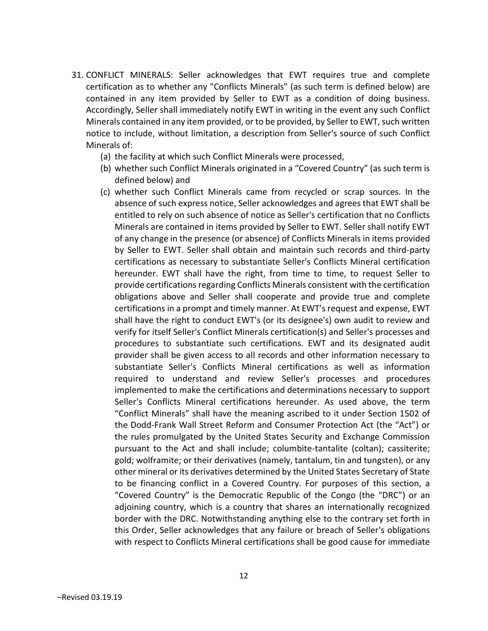- 31. CONFLICT MINERALS: Seller acknowledges that EWT requires true and complete certification as to whether any "Conflicts Minerals" (as such term is defined below) are contained in any item provided by Seller to EWT as a condition of doing business. Accordingly, Seller shall immediately notify EWT in writing in the event any such Conflict Minerals contained in any item provided, or to be provided, by Seller to EWT, such written notice to include, without limitation, a description from Seller's source of such Conflict Minerals of:
	- (a) the facility at which such Conflict Minerals were processed,
	- (b) whether such Conflict Minerals originated in a "Covered Country" (as such term is defined below) and
	- (c) whether such Conflict Minerals came from recycled or scrap sources. In the absence of such express notice, Seller acknowledges and agrees that EWT shall be entitled to rely on such absence of notice as Seller's certification that no Conflicts Minerals are contained in items provided by Seller to EWT. Seller shall notify EWT of any change in the presence (or absence) of Conflicts Minerals in items provided by Seller to EWT. Seller shall obtain and maintain such records and third-party certifications as necessary to substantiate Seller's Conflicts Mineral certification hereunder. EWT shall have the right, from time to time, to request Seller to provide certifications regarding Conflicts Minerals consistent with the certification obligations above and Seller shall cooperate and provide true and complete certifications in a prompt and timely manner. At EWT's request and expense, EWT shall have the right to conduct EWT's (or its designee's) own audit to review and verify for itself Seller's Conflict Minerals certification(s) and Seller's processes and procedures to substantiate such certifications. EWT and its designated audit provider shall be given access to all records and other information necessary to substantiate Seller's Conflicts Mineral certifications as well as information required to understand and review Seller's processes and procedures implemented to make the certifications and determinations necessary to support Seller's Conflicts Mineral certifications hereunder. As used above, the term "Conflict Minerals" shall have the meaning ascribed to it under Section 1502 of the Dodd-Frank Wall Street Reform and Consumer Protection Act (the "Act") or the rules promulgated by the United States Security and Exchange Commission pursuant to the Act and shall include; columbite-tantalite (coltan); cassiterite; gold; wolframite; or their derivatives (namely, tantalum, tin and tungsten), or any other mineral or its derivatives determined by the United States Secretary of State to be financing conflict in a Covered Country. For purposes of this section, a "Covered Country" is the Democratic Republic of the Congo (the "DRC") or an adjoining country, which is a country that shares an internationally recognized border with the DRC. Notwithstanding anything else to the contrary set forth in this Order, Seller acknowledges that any failure or breach of Seller's obligations with respect to Conflicts Mineral certifications shall be good cause for immediate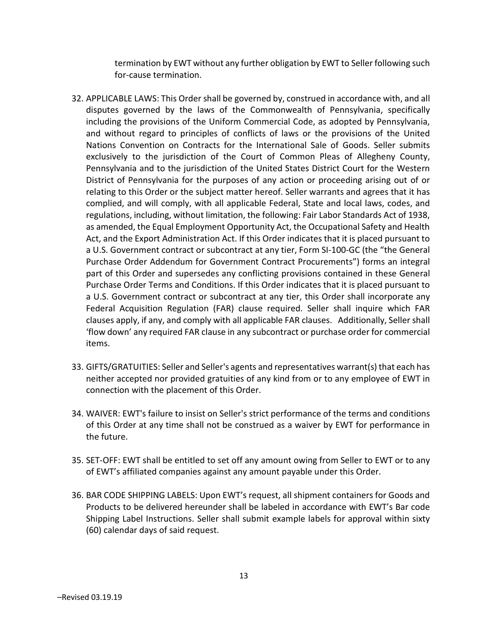termination by EWT without any further obligation by EWT to Seller following such for-cause termination.

- 32. APPLICABLE LAWS: This Order shall be governed by, construed in accordance with, and all disputes governed by the laws of the Commonwealth of Pennsylvania, specifically including the provisions of the Uniform Commercial Code, as adopted by Pennsylvania, and without regard to principles of conflicts of laws or the provisions of the United Nations Convention on Contracts for the International Sale of Goods. Seller submits exclusively to the jurisdiction of the Court of Common Pleas of Allegheny County, Pennsylvania and to the jurisdiction of the United States District Court for the Western District of Pennsylvania for the purposes of any action or proceeding arising out of or relating to this Order or the subject matter hereof. Seller warrants and agrees that it has complied, and will comply, with all applicable Federal, State and local laws, codes, and regulations, including, without limitation, the following: Fair Labor Standards Act of 1938, as amended, the Equal Employment Opportunity Act, the Occupational Safety and Health Act, and the Export Administration Act. If this Order indicates that it is placed pursuant to a U.S. Government contract or subcontract at any tier, Form SI-100-GC (the "the General Purchase Order Addendum for Government Contract Procurements") forms an integral part of this Order and supersedes any conflicting provisions contained in these General Purchase Order Terms and Conditions. If this Order indicates that it is placed pursuant to a U.S. Government contract or subcontract at any tier, this Order shall incorporate any Federal Acquisition Regulation (FAR) clause required. Seller shall inquire which FAR clauses apply, if any, and comply with all applicable FAR clauses. Additionally, Seller shall 'flow down' any required FAR clause in any subcontract or purchase order for commercial items.
- 33. GIFTS/GRATUITIES: Seller and Seller's agents and representatives warrant(s) that each has neither accepted nor provided gratuities of any kind from or to any employee of EWT in connection with the placement of this Order.
- 34. WAIVER: EWT's failure to insist on Seller's strict performance of the terms and conditions of this Order at any time shall not be construed as a waiver by EWT for performance in the future.
- 35. SET-OFF: EWT shall be entitled to set off any amount owing from Seller to EWT or to any of EWT's affiliated companies against any amount payable under this Order.
- 36. BAR CODE SHIPPING LABELS: Upon EWT's request, all shipment containers for Goods and Products to be delivered hereunder shall be labeled in accordance with EWT's Bar code Shipping Label Instructions. Seller shall submit example labels for approval within sixty (60) calendar days of said request.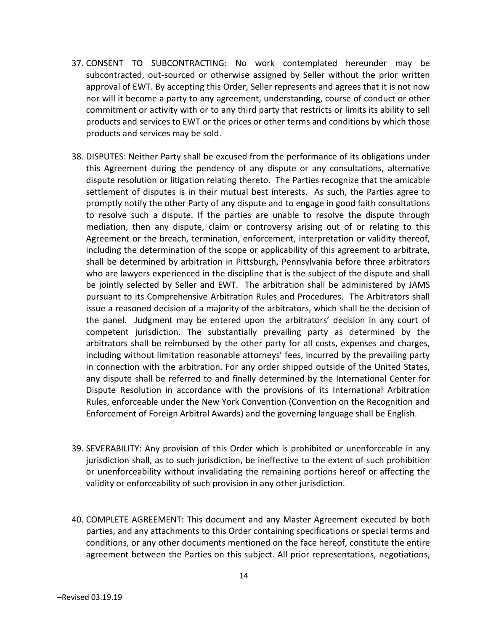- 37. CONSENT TO SUBCONTRACTING: No work contemplated hereunder may be subcontracted, out-sourced or otherwise assigned by Seller without the prior written approval of EWT. By accepting this Order, Seller represents and agrees that it is not now nor will it become a party to any agreement, understanding, course of conduct or other commitment or activity with or to any third party that restricts or limits its ability to sell products and services to EWT or the prices or other terms and conditions by which those products and services may be sold.
- 38. DISPUTES: Neither Party shall be excused from the performance of its obligations under this Agreement during the pendency of any dispute or any consultations, alternative dispute resolution or litigation relating thereto. The Parties recognize that the amicable settlement of disputes is in their mutual best interests. As such, the Parties agree to promptly notify the other Party of any dispute and to engage in good faith consultations to resolve such a dispute. If the parties are unable to resolve the dispute through mediation, then any dispute, claim or controversy arising out of or relating to this Agreement or the breach, termination, enforcement, interpretation or validity thereof, including the determination of the scope or applicability of this agreement to arbitrate, shall be determined by arbitration in Pittsburgh, Pennsylvania before three arbitrators who are lawyers experienced in the discipline that is the subject of the dispute and shall be jointly selected by Seller and EWT. The arbitration shall be administered by JAMS pursuant to its Comprehensive Arbitration Rules and Procedures. The Arbitrators shall issue a reasoned decision of a majority of the arbitrators, which shall be the decision of the panel. Judgment may be entered upon the arbitrators' decision in any court of competent jurisdiction. The substantially prevailing party as determined by the arbitrators shall be reimbursed by the other party for all costs, expenses and charges, including without limitation reasonable attorneys' fees, incurred by the prevailing party in connection with the arbitration. For any order shipped outside of the United States, any dispute shall be referred to and finally determined by the International Center for Dispute Resolution in accordance with the provisions of its International Arbitration Rules, enforceable under the New York Convention (Convention on the Recognition and Enforcement of Foreign Arbitral Awards) and the governing language shall be English.
- 39. SEVERABILITY: Any provision of this Order which is prohibited or unenforceable in any jurisdiction shall, as to such jurisdiction, be ineffective to the extent of such prohibition or unenforceability without invalidating the remaining portions hereof or affecting the validity or enforceability of such provision in any other jurisdiction.
- 40. COMPLETE AGREEMENT: This document and any Master Agreement executed by both parties, and any attachments to this Order containing specifications or special terms and conditions, or any other documents mentioned on the face hereof, constitute the entire agreement between the Parties on this subject. All prior representations, negotiations,